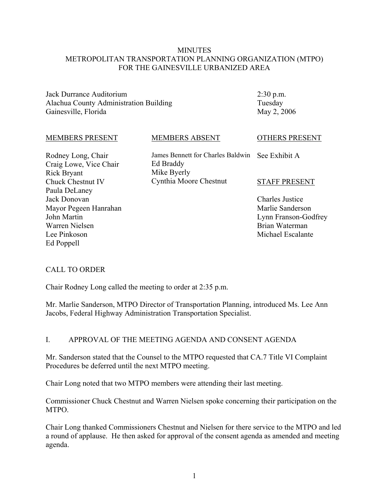#### **MINUTES** METROPOLITAN TRANSPORTATION PLANNING ORGANIZATION (MTPO) FOR THE GAINESVILLE URBANIZED AREA

Jack Durrance Auditorium Alachua County Administration Building Gainesville, Florida

2:30 p.m. Tuesday May 2, 2006

#### MEMBERS PRESENT

Rodney Long, Chair Craig Lowe, Vice Chair Rick Bryant Chuck Chestnut IV Paula DeLaney Jack Donovan Mayor Pegeen Hanrahan John Martin Warren Nielsen Lee Pinkoson Ed Poppell

# MEMBERS ABSENT

James Bennett for Charles Baldwin See Exhibit A Ed Braddy Mike Byerly Cynthia Moore Chestnut

#### STAFF PRESENT

OTHERS PRESENT

Charles Justice Marlie Sanderson Lynn Franson-Godfrey Brian Waterman Michael Escalante

#### CALL TO ORDER

Chair Rodney Long called the meeting to order at 2:35 p.m.

Mr. Marlie Sanderson, MTPO Director of Transportation Planning, introduced Ms. Lee Ann Jacobs, Federal Highway Administration Transportation Specialist.

#### I. APPROVAL OF THE MEETING AGENDA AND CONSENT AGENDA

Mr. Sanderson stated that the Counsel to the MTPO requested that CA.7 Title VI Complaint Procedures be deferred until the next MTPO meeting.

Chair Long noted that two MTPO members were attending their last meeting.

Commissioner Chuck Chestnut and Warren Nielsen spoke concerning their participation on the MTPO.

Chair Long thanked Commissioners Chestnut and Nielsen for there service to the MTPO and led a round of applause. He then asked for approval of the consent agenda as amended and meeting agenda.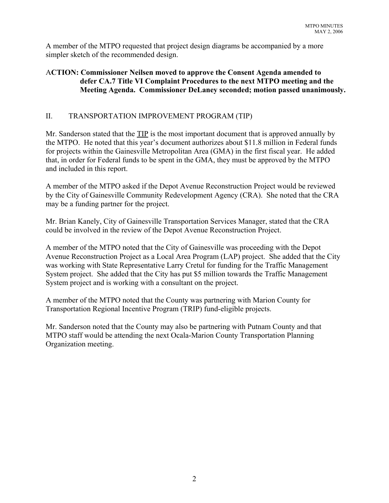A member of the MTPO requested that project design diagrams be accompanied by a more simpler sketch of the recommended design.

# A**CTION: Commissioner Neilsen moved to approve the Consent Agenda amended to defer CA.7 Title VI Complaint Procedures to the next MTPO meeting and the Meeting Agenda. Commissioner DeLaney seconded; motion passed unanimously.**

# II. TRANSPORTATION IMPROVEMENT PROGRAM (TIP)

Mr. Sanderson stated that the TIP is the most important document that is approved annually by the MTPO. He noted that this year's document authorizes about \$11.8 million in Federal funds for projects within the Gainesville Metropolitan Area (GMA) in the first fiscal year. He added that, in order for Federal funds to be spent in the GMA, they must be approved by the MTPO and included in this report.

A member of the MTPO asked if the Depot Avenue Reconstruction Project would be reviewed by the City of Gainesville Community Redevelopment Agency (CRA). She noted that the CRA may be a funding partner for the project.

Mr. Brian Kanely, City of Gainesville Transportation Services Manager, stated that the CRA could be involved in the review of the Depot Avenue Reconstruction Project.

A member of the MTPO noted that the City of Gainesville was proceeding with the Depot Avenue Reconstruction Project as a Local Area Program (LAP) project. She added that the City was working with State Representative Larry Cretul for funding for the Traffic Management System project. She added that the City has put \$5 million towards the Traffic Management System project and is working with a consultant on the project.

A member of the MTPO noted that the County was partnering with Marion County for Transportation Regional Incentive Program (TRIP) fund-eligible projects.

Mr. Sanderson noted that the County may also be partnering with Putnam County and that MTPO staff would be attending the next Ocala-Marion County Transportation Planning Organization meeting.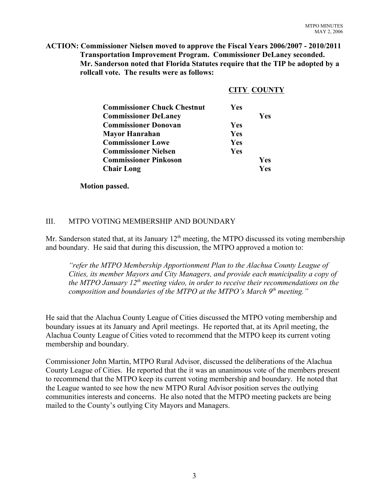**ACTION: Commissioner Nielsen moved to approve the Fiscal Years 2006/2007 - 2010/2011 Transportation Improvement Program. Commissioner DeLaney seconded. Mr. Sanderson noted that Florida Statutes require that the TIP be adopted by a rollcall vote. The results were as follows:**

|                                    |            | <b>CITY COUNTY</b> |
|------------------------------------|------------|--------------------|
| <b>Commissioner Chuck Chestnut</b> | <b>Yes</b> |                    |
| <b>Commissioner DeLaney</b>        |            | Yes                |
| <b>Commissioner Donovan</b>        | <b>Yes</b> |                    |
| Mayor Hanrahan                     | Yes        |                    |
| <b>Commissioner Lowe</b>           | <b>Yes</b> |                    |
| <b>Commissioner Nielsen</b>        | <b>Yes</b> |                    |
| <b>Commissioner Pinkoson</b>       |            | Yes                |
| <b>Chair Long</b>                  |            | Yes                |

**Motion passed.**

## III. MTPO VOTING MEMBERSHIP AND BOUNDARY

Mr. Sanderson stated that, at its January  $12<sup>th</sup>$  meeting, the MTPO discussed its voting membership and boundary. He said that during this discussion, the MTPO approved a motion to:

*"refer the MTPO Membership Apportionment Plan to the Alachua County League of Cities, its member Mayors and City Managers, and provide each municipality a copy of the MTPO January 12<sup>th</sup> meeting video, in order to receive their recommendations on the composition and boundaries of the MTPO at the MTPO's March 9<sup>th</sup> meeting."* 

He said that the Alachua County League of Cities discussed the MTPO voting membership and boundary issues at its January and April meetings. He reported that, at its April meeting, the Alachua County League of Cities voted to recommend that the MTPO keep its current voting membership and boundary.

Commissioner John Martin, MTPO Rural Advisor, discussed the deliberations of the Alachua County League of Cities. He reported that the it was an unanimous vote of the members present to recommend that the MTPO keep its current voting membership and boundary. He noted that the League wanted to see how the new MTPO Rural Advisor position serves the outlying communities interests and concerns. He also noted that the MTPO meeting packets are being mailed to the County's outlying City Mayors and Managers.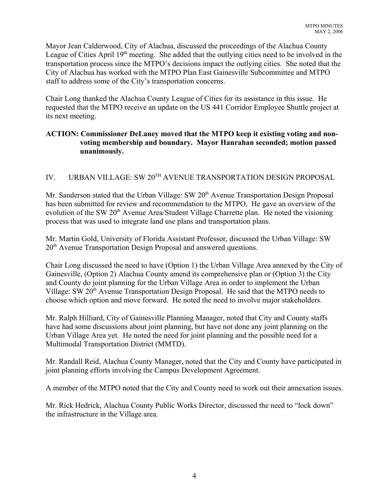Mayor Jean Calderwood, City of Alachua, discussed the proceedings of the Alachua County League of Cities April  $19<sup>th</sup>$  meeting. She added that the outlying cities need to be involved in the transportation process since the MTPO's decisions impact the outlying cities. She noted that the City of Alachua has worked with the MTPO Plan East Gainesville Subcommittee and MTPO staff to address some of the City's transportation concerns.

Chair Long thanked the Alachua County League of Cities for its assistance in this issue. He requested that the MTPO receive an update on the US 441 Corridor Employee Shuttle project at its next meeting.

# **ACTION: Commissioner DeLaney moved that the MTPO keep it existing voting and nonvoting membership and boundary. Mayor Hanrahan seconded; motion passed unanimously.**

# IV. URBAN VILLAGE: SW 20<sup>TH</sup> AVENUE TRANSPORTATION DESIGN PROPOSAL

Mr. Sanderson stated that the Urban Village: SW 20<sup>th</sup> Avenue Transportation Design Proposal has been submitted for review and recommendation to the MTPO. He gave an overview of the evolution of the SW 20<sup>th</sup> Avenue Area/Student Village Charrette plan. He noted the visioning process that was used to integrate land use plans and transportation plans.

Mr. Martin Gold, University of Florida Assistant Professor, discussed the Urban Village: SW 20<sup>th</sup> Avenue Transportation Design Proposal and answered questions.

Chair Long discussed the need to have (Option 1) the Urban Village Area annexed by the City of Gainesville, (Option 2) Alachua County amend its comprehensive plan or (Option 3) the City and County do joint planning for the Urban Village Area in order to implement the Urban Village: SW 20<sup>th</sup> Avenue Transportation Design Proposal. He said that the MTPO needs to choose which option and move forward. He noted the need to involve major stakeholders.

Mr. Ralph Hilliard, City of Gainesville Planning Manager, noted that City and County staffs have had some discussions about joint planning, but have not done any joint planning on the Urban Village Area yet. He noted the need for joint planning and the possible need for a Multimodal Transportation District (MMTD).

Mr. Randall Reid, Alachua County Manager, noted that the City and County have participated in joint planning efforts involving the Campus Development Agreement.

A member of the MTPO noted that the City and County need to work out their annexation issues.

Mr. Rick Hedrick, Alachua County Public Works Director, discussed the need to "lock down" the infrastructure in the Village area.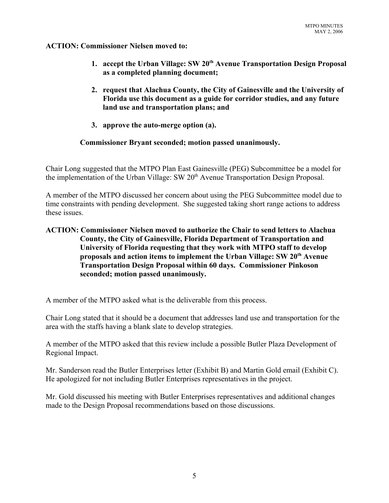## **ACTION: Commissioner Nielsen moved to:**

- **1. accept the Urban Village: SW 20th Avenue Transportation Design Proposal as a completed planning document;**
- **2. request that Alachua County, the City of Gainesville and the University of Florida use this document as a guide for corridor studies, and any future land use and transportation plans; and**
- **3. approve the auto-merge option (a).**

# **Commissioner Bryant seconded; motion passed unanimously.**

Chair Long suggested that the MTPO Plan East Gainesville (PEG) Subcommittee be a model for the implementation of the Urban Village: SW 20<sup>th</sup> Avenue Transportation Design Proposal.

A member of the MTPO discussed her concern about using the PEG Subcommittee model due to time constraints with pending development. She suggested taking short range actions to address these issues.

# **ACTION: Commissioner Nielsen moved to authorize the Chair to send letters to Alachua County, the City of Gainesville, Florida Department of Transportation and University of Florida requesting that they work with MTPO staff to develop proposals and action items to implement the Urban Village: SW 20th Avenue Transportation Design Proposal within 60 days. Commissioner Pinkoson seconded; motion passed unanimously.**

A member of the MTPO asked what is the deliverable from this process.

Chair Long stated that it should be a document that addresses land use and transportation for the area with the staffs having a blank slate to develop strategies.

A member of the MTPO asked that this review include a possible Butler Plaza Development of Regional Impact.

Mr. Sanderson read the Butler Enterprises letter (Exhibit B) and Martin Gold email (Exhibit C). He apologized for not including Butler Enterprises representatives in the project.

Mr. Gold discussed his meeting with Butler Enterprises representatives and additional changes made to the Design Proposal recommendations based on those discussions.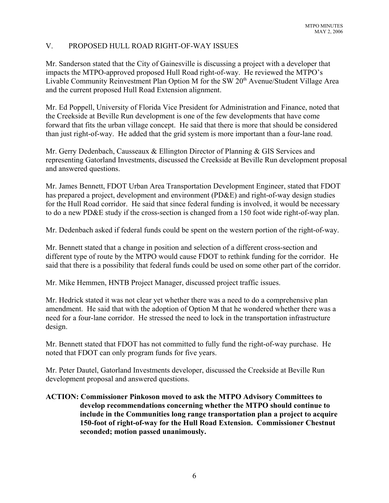# V. PROPOSED HULL ROAD RIGHT-OF-WAY ISSUES

Mr. Sanderson stated that the City of Gainesville is discussing a project with a developer that impacts the MTPO-approved proposed Hull Road right-of-way. He reviewed the MTPO's Livable Community Reinvestment Plan Option M for the SW 20<sup>th</sup> Avenue/Student Village Area and the current proposed Hull Road Extension alignment.

Mr. Ed Poppell, University of Florida Vice President for Administration and Finance, noted that the Creekside at Beville Run development is one of the few developments that have come forward that fits the urban village concept. He said that there is more that should be considered than just right-of-way. He added that the grid system is more important than a four-lane road.

Mr. Gerry Dedenbach, Causseaux & Ellington Director of Planning & GIS Services and representing Gatorland Investments, discussed the Creekside at Beville Run development proposal and answered questions.

Mr. James Bennett, FDOT Urban Area Transportation Development Engineer, stated that FDOT has prepared a project, development and environment (PD&E) and right-of-way design studies for the Hull Road corridor. He said that since federal funding is involved, it would be necessary to do a new PD&E study if the cross-section is changed from a 150 foot wide right-of-way plan.

Mr. Dedenbach asked if federal funds could be spent on the western portion of the right-of-way.

Mr. Bennett stated that a change in position and selection of a different cross-section and different type of route by the MTPO would cause FDOT to rethink funding for the corridor. He said that there is a possibility that federal funds could be used on some other part of the corridor.

Mr. Mike Hemmen, HNTB Project Manager, discussed project traffic issues.

Mr. Hedrick stated it was not clear yet whether there was a need to do a comprehensive plan amendment. He said that with the adoption of Option M that he wondered whether there was a need for a four-lane corridor. He stressed the need to lock in the transportation infrastructure design.

Mr. Bennett stated that FDOT has not committed to fully fund the right-of-way purchase. He noted that FDOT can only program funds for five years.

Mr. Peter Dautel, Gatorland Investments developer, discussed the Creekside at Beville Run development proposal and answered questions.

# **ACTION: Commissioner Pinkoson moved to ask the MTPO Advisory Committees to develop recommendations concerning whether the MTPO should continue to include in the Communities long range transportation plan a project to acquire 150-foot of right-of-way for the Hull Road Extension. Commissioner Chestnut seconded; motion passed unanimously.**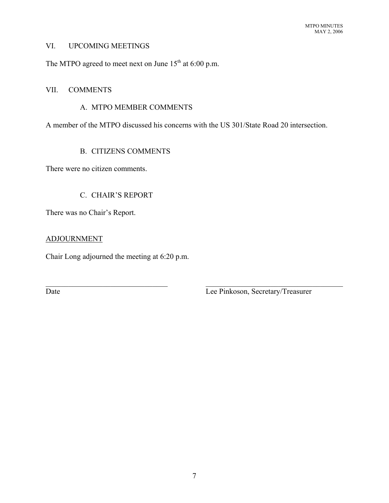#### VI. UPCOMING MEETINGS

The MTPO agreed to meet next on June  $15<sup>th</sup>$  at 6:00 p.m.

#### VII. COMMENTS

#### A. MTPO MEMBER COMMENTS

A member of the MTPO discussed his concerns with the US 301/State Road 20 intersection.

 $\mathcal{L}_\text{max}$  , and the contribution of the contribution of the contribution of the contribution of the contribution of the contribution of the contribution of the contribution of the contribution of the contribution of t

# B. CITIZENS COMMENTS

There were no citizen comments.

## C. CHAIR'S REPORT

There was no Chair's Report.

#### ADJOURNMENT

Chair Long adjourned the meeting at 6:20 p.m.

Date Lee Pinkoson, Secretary/Treasurer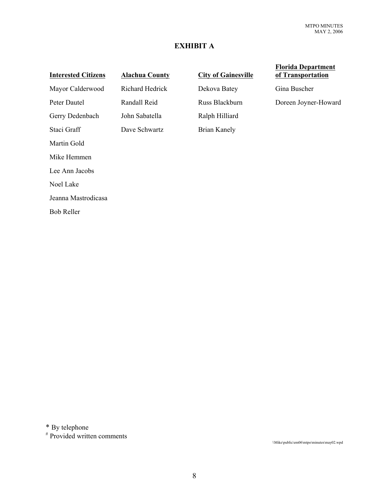# **EXHIBIT A**

# **Interested Citizens Alachua County City of Gainesville**

Martin Gold

Mike Hemmen

Lee Ann Jacobs

Noel Lake

Jeanna Mastrodicasa

Bob Reller

Gerry Dedenbach John Sabatella Ralph Hilliard Staci Graff **Dave Schwartz** Brian Kanely

Mayor Calderwood Richard Hedrick Dekova Batey Gina Buscher

#### **Florida Department of Transportation**

Peter Dautel Randall Reid Russ Blackburn Doreen Joyner-Howard

\* By telephone

# Provided written comments

\\Mike\public\em06\mtpo\minutes\may02.wpd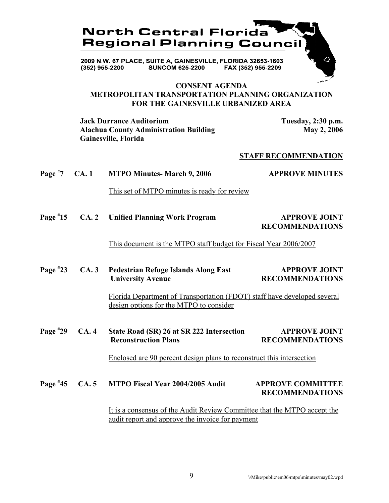

**CONSENT AGENDA METROPOLITAN TRANSPORTATION PLANNING ORGANIZATION FOR THE GAINESVILLE URBANIZED AREA**

**Jack Durrance Auditorium**  Tuesday, 2:30 p.m. Alachua County Administration Building May 2, 2006 **Gainesville, Florida**

#### **STAFF RECOMMENDATION**

**Page # 7 CA. 1 MTPO Minutes- March 9, 2006 APPROVE MINUTES**

This set of MTPO minutes is ready for review

**Page # 15 CA. 2 Unified Planning Work Program APPROVE JOINT RECOMMENDATIONS**

This document is the MTPO staff budget for Fiscal Year 2006/2007

**Page # 23 CA. 3 Pedestrian Refuge Islands Along East APPROVE JOINT University Avenue** RECOMMENDATIONS

> Florida Department of Transportation (FDOT) staff have developed several design options for the MTPO to consider

**Page # 29 CA. 4 State Road (SR) 26 at SR 222 Intersection APPROVE JOINT Reconstruction Plans RECOMMENDATIONS** 

Enclosed are 90 percent design plans to reconstruct this intersection

#### **Page # 45 CA. 5 MTPO Fiscal Year 2004/2005 Audit APPROVE COMMITTEE RECOMMENDATIONS**

 It is a consensus of the Audit Review Committee that the MTPO accept the audit report and approve the invoice for payment